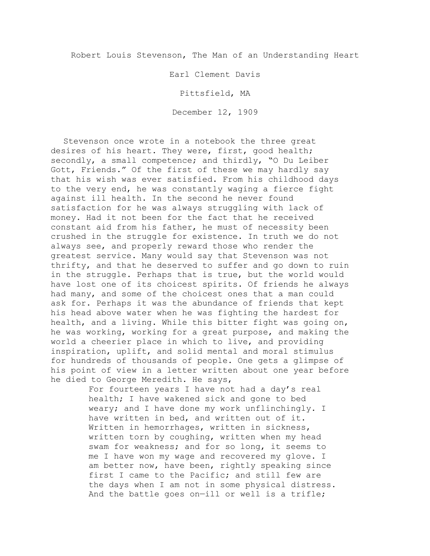Robert Louis Stevenson, The Man of an Understanding Heart

Earl Clement Davis

Pittsfield, MA

December 12, 1909

Stevenson once wrote in a notebook the three great desires of his heart. They were, first, good health; secondly, a small competence; and thirdly, "O Du Leiber Gott, Friends." Of the first of these we may hardly say that his wish was ever satisfied. From his childhood days to the very end, he was constantly waging a fierce fight against ill health. In the second he never found satisfaction for he was always struggling with lack of money. Had it not been for the fact that he received constant aid from his father, he must of necessity been crushed in the struggle for existence. In truth we do not always see, and properly reward those who render the greatest service. Many would say that Stevenson was not thrifty, and that he deserved to suffer and go down to ruin in the struggle. Perhaps that is true, but the world would have lost one of its choicest spirits. Of friends he always had many, and some of the choicest ones that a man could ask for. Perhaps it was the abundance of friends that kept his head above water when he was fighting the hardest for health, and a living. While this bitter fight was going on, he was working, working for a great purpose, and making the world a cheerier place in which to live, and providing inspiration, uplift, and solid mental and moral stimulus for hundreds of thousands of people. One gets a glimpse of his point of view in a letter written about one year before he died to George Meredith. He says,

> For fourteen years I have not had a day's real health; I have wakened sick and gone to bed weary; and I have done my work unflinchingly. I have written in bed, and written out of it. Written in hemorrhages, written in sickness, written torn by coughing, written when my head swam for weakness; and for so long, it seems to me I have won my wage and recovered my glove. I am better now, have been, rightly speaking since first I came to the Pacific; and still few are the days when I am not in some physical distress. And the battle goes on—ill or well is a trifle;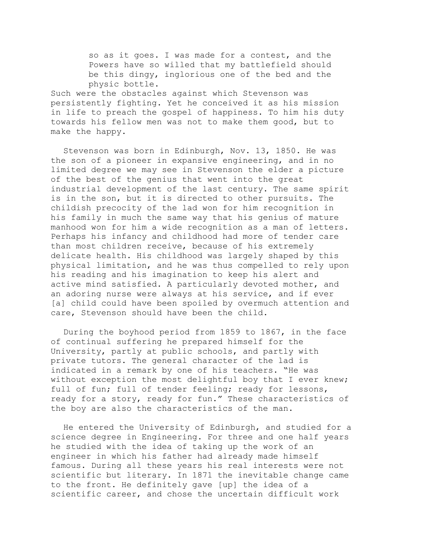so as it goes. I was made for a contest, and the Powers have so willed that my battlefield should be this dingy, inglorious one of the bed and the physic bottle.

Such were the obstacles against which Stevenson was persistently fighting. Yet he conceived it as his mission in life to preach the gospel of happiness. To him his duty towards his fellow men was not to make them good, but to make the happy.

Stevenson was born in Edinburgh, Nov. 13, 1850. He was the son of a pioneer in expansive engineering, and in no limited degree we may see in Stevenson the elder a picture of the best of the genius that went into the great industrial development of the last century. The same spirit is in the son, but it is directed to other pursuits. The childish precocity of the lad won for him recognition in his family in much the same way that his genius of mature manhood won for him a wide recognition as a man of letters. Perhaps his infancy and childhood had more of tender care than most children receive, because of his extremely delicate health. His childhood was largely shaped by this physical limitation, and he was thus compelled to rely upon his reading and his imagination to keep his alert and active mind satisfied. A particularly devoted mother, and an adoring nurse were always at his service, and if ever [a] child could have been spoiled by overmuch attention and care, Stevenson should have been the child.

During the boyhood period from 1859 to 1867, in the face of continual suffering he prepared himself for the University, partly at public schools, and partly with private tutors. The general character of the lad is indicated in a remark by one of his teachers. "He was without exception the most delightful boy that I ever knew; full of fun; full of tender feeling; ready for lessons, ready for a story, ready for fun." These characteristics of the boy are also the characteristics of the man.

He entered the University of Edinburgh, and studied for a science degree in Engineering. For three and one half years he studied with the idea of taking up the work of an engineer in which his father had already made himself famous. During all these years his real interests were not scientific but literary. In 1871 the inevitable change came to the front. He definitely gave [up] the idea of a scientific career, and chose the uncertain difficult work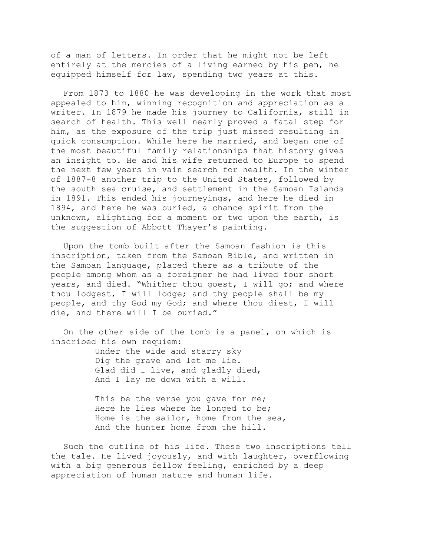of a man of letters. In order that he might not be left entirely at the mercies of a living earned by his pen, he equipped himself for law, spending two years at this.

From 1873 to 1880 he was developing in the work that most appealed to him, winning recognition and appreciation as a writer. In 1879 he made his journey to California, still in search of health. This well nearly proved a fatal step for him, as the exposure of the trip just missed resulting in quick consumption. While here he married, and began one of the most beautiful family relationships that history gives an insight to. He and his wife returned to Europe to spend the next few years in vain search for health. In the winter of 1887-8 another trip to the United States, followed by the south sea cruise, and settlement in the Samoan Islands in 1891. This ended his journeyings, and here he died in 1894, and here he was buried, a chance spirit from the unknown, alighting for a moment or two upon the earth, is the suggestion of Abbott Thayer's painting.

Upon the tomb built after the Samoan fashion is this inscription, taken from the Samoan Bible, and written in the Samoan language, placed there as a tribute of the people among whom as a foreigner he had lived four short years, and died. "Whither thou goest, I will go; and where thou lodgest, I will lodge; and thy people shall be my people, and thy God my God; and where thou diest, I will die, and there will I be buried."

On the other side of the tomb is a panel, on which is inscribed his own requiem:

> Under the wide and starry sky Dig the grave and let me lie. Glad did I live, and gladly died, And I lay me down with a will.

This be the verse you gave for me; Here he lies where he longed to be; Home is the sailor, home from the sea, And the hunter home from the hill.

Such the outline of his life. These two inscriptions tell the tale. He lived joyously, and with laughter, overflowing with a big generous fellow feeling, enriched by a deep appreciation of human nature and human life.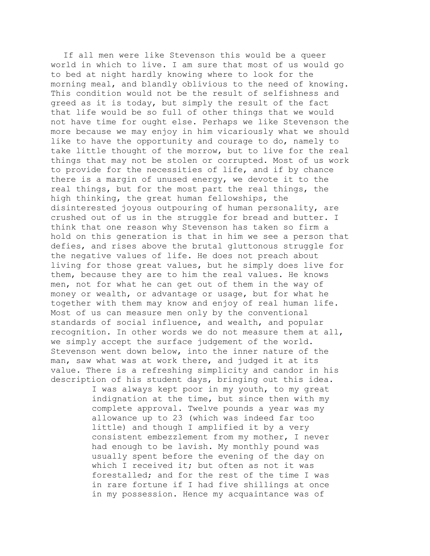If all men were like Stevenson this would be a queer world in which to live. I am sure that most of us would go to bed at night hardly knowing where to look for the morning meal, and blandly oblivious to the need of knowing. This condition would not be the result of selfishness and greed as it is today, but simply the result of the fact that life would be so full of other things that we would not have time for ought else. Perhaps we like Stevenson the more because we may enjoy in him vicariously what we should like to have the opportunity and courage to do, namely to take little thought of the morrow, but to live for the real things that may not be stolen or corrupted. Most of us work to provide for the necessities of life, and if by chance there is a margin of unused energy, we devote it to the real things, but for the most part the real things, the high thinking, the great human fellowships, the disinterested joyous outpouring of human personality, are crushed out of us in the struggle for bread and butter. I think that one reason why Stevenson has taken so firm a hold on this generation is that in him we see a person that defies, and rises above the brutal gluttonous struggle for the negative values of life. He does not preach about living for those great values, but he simply does live for them, because they are to him the real values. He knows men, not for what he can get out of them in the way of money or wealth, or advantage or usage, but for what he together with them may know and enjoy of real human life. Most of us can measure men only by the conventional standards of social influence, and wealth, and popular recognition. In other words we do not measure them at all, we simply accept the surface judgement of the world. Stevenson went down below, into the inner nature of the man, saw what was at work there, and judged it at its value. There is a refreshing simplicity and candor in his description of his student days, bringing out this idea.

> I was always kept poor in my youth, to my great indignation at the time, but since then with my complete approval. Twelve pounds a year was my allowance up to 23 (which was indeed far too little) and though I amplified it by a very consistent embezzlement from my mother, I never had enough to be lavish. My monthly pound was usually spent before the evening of the day on which I received it; but often as not it was forestalled; and for the rest of the time I was in rare fortune if I had five shillings at once in my possession. Hence my acquaintance was of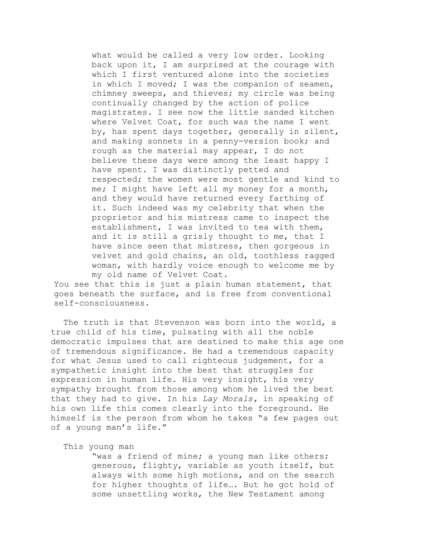what would be called a very low order. Looking back upon it, I am surprised at the courage with which I first ventured alone into the societies in which I moved; I was the companion of seamen, chimney sweeps, and thieves; my circle was being continually changed by the action of police magistrates. I see now the little sanded kitchen where Velvet Coat, for such was the name I went by, has spent days together, generally in silent, and making sonnets in a penny-version book; and rough as the material may appear, I do not believe these days were among the least happy I have spent. I was distinctly petted and respected; the women were most gentle and kind to me; I might have left all my money for a month, and they would have returned every farthing of it. Such indeed was my celebrity that when the proprietor and his mistress came to inspect the establishment, I was invited to tea with them, and it is still a grisly thought to me, that I have since seen that mistress, then gorgeous in velvet and gold chains, an old, toothless ragged woman, with hardly voice enough to welcome me by my old name of Velvet Coat.

You see that this is just a plain human statement, that goes beneath the surface, and is free from conventional self-consciousness.

The truth is that Stevenson was born into the world, a true child of his time, pulsating with all the noble democratic impulses that are destined to make this age one of tremendous significance. He had a tremendous capacity for what Jesus used to call righteous judgement, for a sympathetic insight into the best that struggles for expression in human life. His very insight, his very sympathy brought from those among whom he lived the best that they had to give. In his *Lay Morals,* in speaking of his own life this comes clearly into the foreground. He himself is the person from whom he takes "a few pages out of a young man's life."

This young man

"was a friend of mine; a young man like others; generous, flighty, variable as youth itself, but always with some high motions, and on the search for higher thoughts of life…. But he got hold of some unsettling works, the New Testament among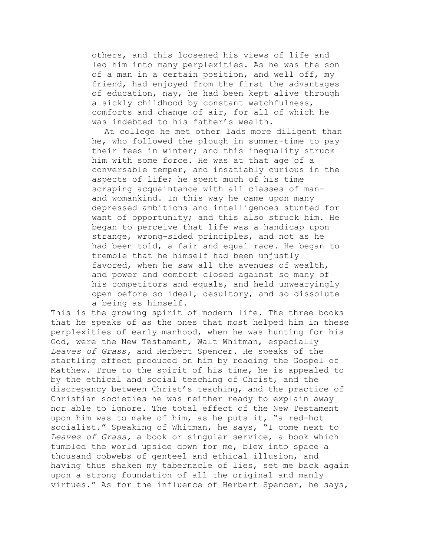others, and this loosened his views of life and led him into many perplexities. As he was the son of a man in a certain position, and well off, my friend, had enjoyed from the first the advantages of education, nay, he had been kept alive through a sickly childhood by constant watchfulness, comforts and change of air, for all of which he was indebted to his father's wealth.

At college he met other lads more diligent than he, who followed the plough in summer-time to pay their fees in winter; and this inequality struck him with some force. He was at that age of a conversable temper, and insatiably curious in the aspects of life; he spent much of his time scraping acquaintance with all classes of manand womankind. In this way he came upon many depressed ambitions and intelligences stunted for want of opportunity; and this also struck him. He began to perceive that life was a handicap upon strange, wrong-sided principles, and not as he had been told, a fair and equal race. He began to tremble that he himself had been unjustly favored, when he saw all the avenues of wealth, and power and comfort closed against so many of his competitors and equals, and held unwearyingly open before so ideal, desultory, and so dissolute a being as himself.

This is the growing spirit of modern life. The three books that he speaks of as the ones that most helped him in these perplexities of early manhood, when he was hunting for his God, were the New Testament, Walt Whitman, especially *Leaves of Grass,* and Herbert Spencer. He speaks of the startling effect produced on him by reading the Gospel of Matthew. True to the spirit of his time, he is appealed to by the ethical and social teaching of Christ, and the discrepancy between Christ's teaching, and the practice of Christian societies he was neither ready to explain away nor able to ignore. The total effect of the New Testament upon him was to make of him, as he puts it, "a red-hot socialist." Speaking of Whitman, he says, "I come next to *Leaves of Grass,* a book or singular service, a book which tumbled the world upside down for me, blew into space a thousand cobwebs of genteel and ethical illusion, and having thus shaken my tabernacle of lies, set me back again upon a strong foundation of all the original and manly virtues." As for the influence of Herbert Spencer, he says,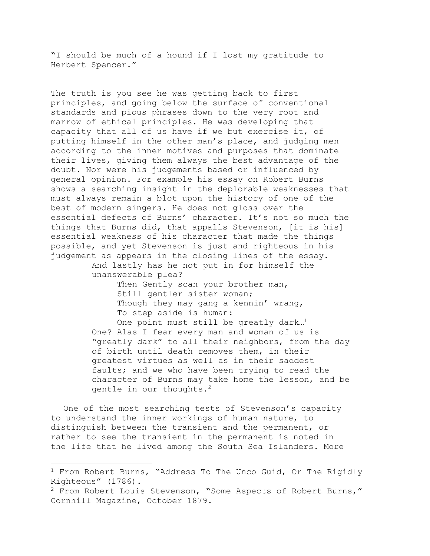"I should be much of a hound if I lost my gratitude to Herbert Spencer."

The truth is you see he was getting back to first principles, and going below the surface of conventional standards and pious phrases down to the very root and marrow of ethical principles. He was developing that capacity that all of us have if we but exercise it, of putting himself in the other man's place, and judging men according to the inner motives and purposes that dominate their lives, giving them always the best advantage of the doubt. Nor were his judgements based or influenced by general opinion. For example his essay on Robert Burns shows a searching insight in the deplorable weaknesses that must always remain a blot upon the history of one of the best of modern singers. He does not gloss over the essential defects of Burns' character. It's not so much the things that Burns did, that appalls Stevenson, [it is his] essential weakness of his character that made the things possible, and yet Stevenson is just and righteous in his judgement as appears in the closing lines of the essay.

And lastly has he not put in for himself the unanswerable plea?

> Then Gently scan your brother man, Still gentler sister woman; Though they may gang a kennin' wrang, To step aside is human:

One point must still be greatly dark.<sup>1</sup> One? Alas I fear every man and woman of us is "greatly dark" to all their neighbors, from the day of birth until death removes them, in their greatest virtues as well as in their saddest faults; and we who have been trying to read the character of Burns may take home the lesson, and be gentle in our thoughts.<sup>2</sup>

One of the most searching tests of Stevenson's capacity to understand the inner workings of human nature, to distinguish between the transient and the permanent, or rather to see the transient in the permanent is noted in the life that he lived among the South Sea Islanders. More

 $1$  From Robert Burns, "Address To The Unco Guid, Or The Rigidly Righteous" (1786).

<sup>2</sup> From Robert Louis Stevenson, "Some Aspects of Robert Burns," Cornhill Magazine, October 1879.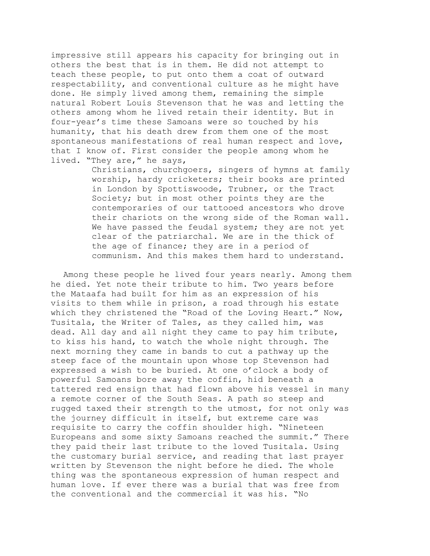impressive still appears his capacity for bringing out in others the best that is in them. He did not attempt to teach these people, to put onto them a coat of outward respectability, and conventional culture as he might have done. He simply lived among them, remaining the simple natural Robert Louis Stevenson that he was and letting the others among whom he lived retain their identity. But in four-year's time these Samoans were so touched by his humanity, that his death drew from them one of the most spontaneous manifestations of real human respect and love, that I know of. First consider the people among whom he lived. "They are," he says,

> Christians, churchgoers, singers of hymns at family worship, hardy cricketers; their books are printed in London by Spottiswoode, Trubner, or the Tract Society; but in most other points they are the contemporaries of our tattooed ancestors who drove their chariots on the wrong side of the Roman wall. We have passed the feudal system; they are not yet clear of the patriarchal. We are in the thick of the age of finance; they are in a period of communism. And this makes them hard to understand.

Among these people he lived four years nearly. Among them he died. Yet note their tribute to him. Two years before the Mataafa had built for him as an expression of his visits to them while in prison, a road through his estate which they christened the "Road of the Loving Heart." Now, Tusitala, the Writer of Tales, as they called him, was dead. All day and all night they came to pay him tribute, to kiss his hand, to watch the whole night through. The next morning they came in bands to cut a pathway up the steep face of the mountain upon whose top Stevenson had expressed a wish to be buried. At one o'clock a body of powerful Samoans bore away the coffin, hid beneath a tattered red ensign that had flown above his vessel in many a remote corner of the South Seas. A path so steep and rugged taxed their strength to the utmost, for not only was the journey difficult in itself, but extreme care was requisite to carry the coffin shoulder high. "Nineteen Europeans and some sixty Samoans reached the summit." There they paid their last tribute to the loved Tusitala. Using the customary burial service, and reading that last prayer written by Stevenson the night before he died. The whole thing was the spontaneous expression of human respect and human love. If ever there was a burial that was free from the conventional and the commercial it was his. "No